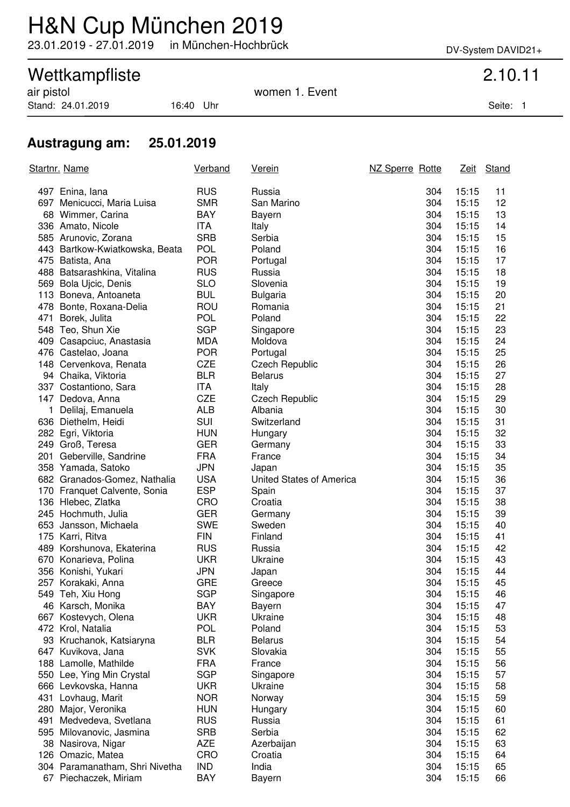# H&N Cup München 2019

23.01.2019 - 27.01.2019 in München-Hochbrück DV-System DAVID21+

## Wettkampfliste 2.10.11

Stand: 24.01.2019 16:40 Uhr Seite: 1

air pistol women 1. Event

### **Austragung am: 25.01.2019**

|     | <u>Startnr. Name</u>           | Verband    | <u>Verein</u>            | NZ Sperre Rotte | <u>Zeit</u> | Stand |
|-----|--------------------------------|------------|--------------------------|-----------------|-------------|-------|
|     | 497 Enina, lana                | <b>RUS</b> | Russia                   | 304             | 15:15       | 11    |
|     | 697 Menicucci, Maria Luisa     | <b>SMR</b> | San Marino               | 304             | 15:15       | 12    |
|     | 68 Wimmer, Carina              | <b>BAY</b> | Bayern                   | 304             | 15:15       | 13    |
|     | 336 Amato, Nicole              | <b>ITA</b> | Italy                    | 304             | 15:15       | 14    |
|     | 585 Arunovic, Zorana           | <b>SRB</b> | Serbia                   | 304             | 15:15       | 15    |
|     | 443 Bartkow-Kwiatkowska, Beata | <b>POL</b> | Poland                   | 304             | 15:15       | 16    |
|     | 475 Batista, Ana               | <b>POR</b> | Portugal                 | 304             | 15:15       | 17    |
|     | 488 Batsarashkina, Vitalina    | <b>RUS</b> | Russia                   | 304             | 15:15       | 18    |
|     | 569 Bola Ujcic, Denis          | <b>SLO</b> | Slovenia                 | 304             | 15:15       | 19    |
|     | 113 Boneva, Antoaneta          | <b>BUL</b> | <b>Bulgaria</b>          | 304             | 15:15       | 20    |
|     | 478 Bonte, Roxana-Delia        | ROU        | Romania                  | 304             | 15:15       | 21    |
| 471 | Borek, Julita                  | <b>POL</b> | Poland                   | 304             | 15:15       | 22    |
|     | 548 Teo, Shun Xie              | <b>SGP</b> | Singapore                | 304             | 15:15       | 23    |
|     | 409 Casapciuc, Anastasia       | <b>MDA</b> | Moldova                  | 304             | 15:15       | 24    |
|     | 476 Castelao, Joana            | <b>POR</b> | Portugal                 | 304             | 15:15       | 25    |
|     | 148 Cervenkova, Renata         | <b>CZE</b> | <b>Czech Republic</b>    | 304             | 15:15       | 26    |
|     | 94 Chaika, Viktoria            | <b>BLR</b> | <b>Belarus</b>           | 304             | 15:15       | 27    |
|     | 337 Costantiono, Sara          | <b>ITA</b> | Italy                    | 304             | 15:15       | 28    |
|     | 147 Dedova, Anna               | <b>CZE</b> | <b>Czech Republic</b>    | 304             | 15:15       | 29    |
| 1   | Delilaj, Emanuela              | <b>ALB</b> | Albania                  | 304             | 15:15       | 30    |
|     | 636 Diethelm, Heidi            | SUI        | Switzerland              | 304             | 15:15       | 31    |
|     | 282 Egri, Viktoria             | <b>HUN</b> | Hungary                  | 304             | 15:15       | 32    |
|     | 249 Groß, Teresa               | <b>GER</b> | Germany                  | 304             | 15:15       | 33    |
|     | 201 Geberville, Sandrine       | <b>FRA</b> | France                   | 304             | 15:15       | 34    |
|     | 358 Yamada, Satoko             | <b>JPN</b> | Japan                    | 304             | 15:15       | 35    |
|     | 682 Granados-Gomez, Nathalia   | <b>USA</b> | United States of America | 304             | 15:15       | 36    |
|     | 170 Franquet Calvente, Sonia   | <b>ESP</b> | Spain                    | 304             | 15:15       | 37    |
|     | 136 Hlebec, Zlatka             | <b>CRO</b> | Croatia                  | 304             | 15:15       | 38    |
|     | 245 Hochmuth, Julia            | <b>GER</b> | Germany                  | 304             | 15:15       | 39    |
|     | 653 Jansson, Michaela          | <b>SWE</b> | Sweden                   | 304             | 15:15       | 40    |
|     | 175 Karri, Ritva               | <b>FIN</b> | Finland                  | 304             | 15:15       | 41    |
|     | 489 Korshunova, Ekaterina      | <b>RUS</b> | Russia                   | 304             | 15:15       | 42    |
|     | 670 Konarieva, Polina          | <b>UKR</b> | Ukraine                  | 304             | 15:15       | 43    |
|     | 356 Konishi, Yukari            | <b>JPN</b> | Japan                    | 304             | 15:15       | 44    |
|     | 257 Korakaki, Anna             | <b>GRE</b> | Greece                   | 304             | 15:15       | 45    |
|     | 549 Teh, Xiu Hong              | <b>SGP</b> | Singapore                | 304             | 15:15       | 46    |
|     | 46 Karsch, Monika              | <b>BAY</b> | Bayern                   | 304             | 15:15       | 47    |
| 667 | Kostevych, Olena               | <b>UKR</b> | Ukraine                  | 304             | 15:15       | 48    |
|     | 472 Krol, Natalia              | <b>POL</b> | Poland                   | 304             | 15:15       | 53    |
|     | 93 Kruchanok, Katsiaryna       | <b>BLR</b> | <b>Belarus</b>           | 304             | 15:15       | 54    |
|     | 647 Kuvikova, Jana             | <b>SVK</b> | Slovakia                 | 304             | 15:15       | 55    |
|     | 188 Lamolle, Mathilde          | <b>FRA</b> | France                   | 304             | 15:15       | 56    |
|     | 550 Lee, Ying Min Crystal      | <b>SGP</b> | Singapore                | 304             | 15:15       | 57    |
|     | 666 Levkovska, Hanna           | <b>UKR</b> | Ukraine                  | 304             | 15:15       | 58    |
| 431 | Lovhaug, Marit                 | <b>NOR</b> | Norway                   | 304             | 15:15       | 59    |
| 280 | Major, Veronika                | <b>HUN</b> | Hungary                  | 304             | 15:15       | 60    |
| 491 | Medvedeva, Svetlana            | <b>RUS</b> | Russia                   | 304             | 15:15       | 61    |
|     | 595 Milovanovic, Jasmina       | <b>SRB</b> | Serbia                   | 304             | 15:15       | 62    |
|     | 38 Nasirova, Nigar             | <b>AZE</b> | Azerbaijan               | 304             | 15:15       | 63    |
|     | 126 Omazic, Matea              | CRO        | Croatia                  | 304             | 15:15       | 64    |
|     | 304 Paramanatham, Shri Nivetha | <b>IND</b> | India                    | 304             | 15:15       | 65    |
|     | 67 Piechaczek, Miriam          | <b>BAY</b> | <b>Bayern</b>            | 304             | 15:15       | 66    |